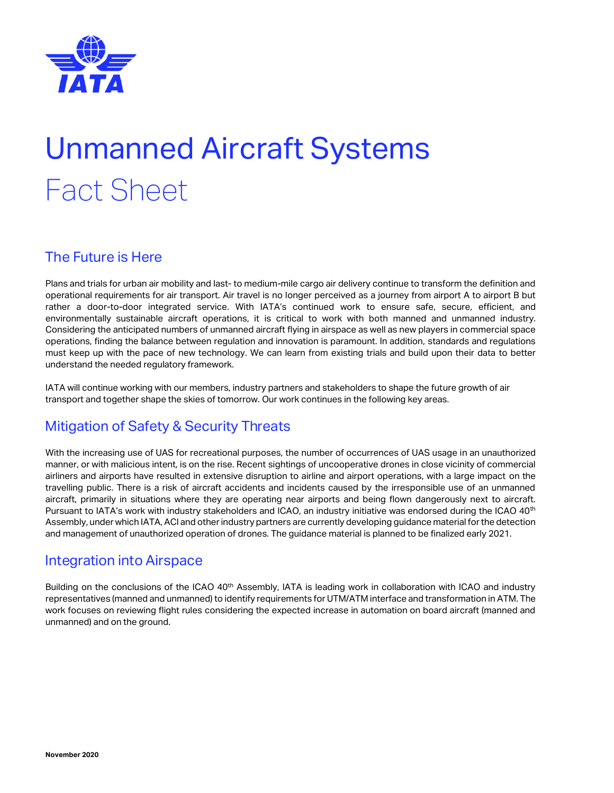

# Unmanned Aircraft Systems Fact Sheet

### The Future is Here

Plans and trials for urban air mobility and last- to medium-mile cargo air delivery continue to transform the definition and operational requirements for air transport. Air travel is no longer perceived as a journey from airport A to airport B but rather a door-to-door integrated service. With IATA's continued work to ensure safe, secure, efficient, and environmentally sustainable aircraft operations, it is critical to work with both manned and unmanned industry. Considering the anticipated numbers of unmanned aircraft flying in airspace as well as new players in commercial space operations, finding the balance between regulation and innovation is paramount. In addition, standards and regulations must keep up with the pace of new technology. We can learn from existing trials and build upon their data to better understand the needed regulatory framework.

IATA will continue working with our members, industry partners and stakeholders to shape the future growth of air transport and together shape the skies of tomorrow. Our work continues in the following key areas.

## Mitigation of Safety & Security Threats

With the increasing use of UAS for recreational purposes, the number of occurrences of UAS usage in an unauthorized manner, or with malicious intent, is on the rise. Recent sightings of uncooperative drones in close vicinity of commercial airliners and airports have resulted in extensive disruption to airline and airport operations, with a large impact on the travelling public. There is a risk of aircraft accidents and incidents caused by the irresponsible use of an unmanned aircraft, primarily in situations where they are operating near airports and being flown dangerously next to aircraft. Pursuant to IATA's work with industry stakeholders and ICAO, an industry initiative was endorsed during the ICAO 40<sup>th</sup> Assembly, under which IATA, ACI and other industry partners are currently developing guidance material for the detection and management of unauthorized operation of drones. The guidance material is planned to be finalized early 2021.

#### Integration into Airspace

Building on the conclusions of the ICAO 40<sup>th</sup> Assembly, IATA is leading work in collaboration with ICAO and industry representatives (manned and unmanned) to identify requirements for UTM/ATM interface and transformation in ATM. The work focuses on reviewing flight rules considering the expected increase in automation on board aircraft (manned and unmanned) and on the ground.